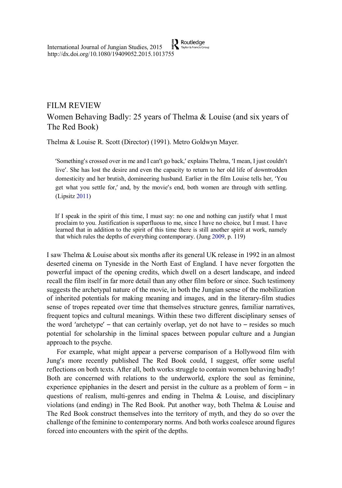$\sum_{\text{Taylor & Francis Gro}}$ International Journal of Jungian Studies, 2015 http://dx.doi.org/10.1080/19409052.2015.1013755

## FILM REVIEW

# Women Behaving Badly: 25 years of Thelma & Louise (and six years of The Red Book)

Thelma & Louise R. Scott (Director) (1991). Metro Goldwyn Mayer.

'Something's crossed over in me and I can't go back,' explains Thelma, 'I mean, I just couldn't live'. She has lost the desire and even the capacity to return to her old life of downtrodden domesticity and her brutish, domineering husband. Earlier in the film Louise tells her, 'You get what you settle for,' and, by the movie's end, both women are through with settling. (Lipsitz 2011)

If I speak in the spirit of this time, I must say: no one and nothing can justify what I must proclaim to you. Justification is superfluous to me, since I have no choice, but I must. I have learned that in addition to the spirit of this time there is still another spirit at work, namely that which rules the depths of everything contemporary. (Jung 2009, p. 119)

I saw Thelma & Louise about six months after its general UK release in 1992 in an almost deserted cinema on Tyneside in the North East of England. I have never forgotten the powerful impact of the opening credits, which dwell on a desert landscape, and indeed recall the film itself in far more detail than any other film before or since. Such testimony suggests the archetypal nature of the movie, in both the Jungian sense of the mobilization of inherited potentials for making meaning and images, and in the literary-film studies sense of tropes repeated over time that themselves structure genres, familiar narratives, frequent topics and cultural meanings. Within these two different disciplinary senses of the word 'archetype' – that can certainly overlap, yet do not have to – resides so much potential for scholarship in the liminal spaces between popular culture and a Jungian approach to the psyche.

For example, what might appear a perverse comparison of a Hollywood film with Jung's more recently published The Red Book could, I suggest, offer some useful reflections on both texts. After all, both works struggle to contain women behaving badly! Both are concerned with relations to the underworld, explore the soul as feminine, experience epiphanies in the desert and persist in the culture as a problem of form – in questions of realism, multi-genres and ending in Thelma  $\&$  Louise, and disciplinary violations (and ending) in The Red Book. Put another way, both Thelma & Louise and The Red Book construct themselves into the territory of myth, and they do so over the challenge of the feminine to contemporary norms. And both works coalesce around figures forced into encounters with the spirit of the depths.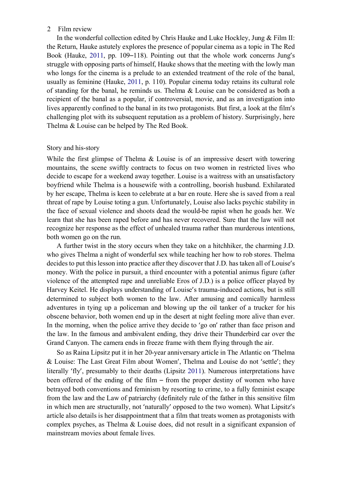## 2 Film review

In the wonderful collection edited by Chris Hauke and Luke Hockley, Jung  $&$  Film II: the Return, Hauke astutely explores the presence of popular cinema as a topic in The Red Book (Hauke, 2011, pp. 109–118). Pointing out that the whole work concerns Jung's struggle with opposing parts of himself, Hauke shows that the meeting with the lowly man who longs for the cinema is a prelude to an extended treatment of the role of the banal, usually as feminine (Hauke, 2011, p. 110). Popular cinema today retains its cultural role of standing for the banal, he reminds us. Thelma  $\&$  Louise can be considered as both a recipient of the banal as a popular, if controversial, movie, and as an investigation into lives apparently confined to the banal in its two protagonists. But first, a look at the film's challenging plot with its subsequent reputation as a problem of history. Surprisingly, here Thelma & Louise can be helped by The Red Book.

## Story and his-story

While the first glimpse of Thelma  $\&$  Louise is of an impressive desert with towering mountains, the scene swiftly contracts to focus on two women in restricted lives who decide to escape for a weekend away together. Louise is a waitress with an unsatisfactory boyfriend while Thelma is a housewife with a controlling, boorish husband. Exhilarated by her escape, Thelma is keen to celebrate at a bar en route. Here she is saved from a real threat of rape by Louise toting a gun. Unfortunately, Louise also lacks psychic stability in the face of sexual violence and shoots dead the would-be rapist when he goads her. We learn that she has been raped before and has never recovered. Sure that the law will not recognize her response as the effect of unhealed trauma rather than murderous intentions, both women go on the run.

A further twist in the story occurs when they take on a hitchhiker, the charming J.D. who gives Thelma a night of wonderful sex while teaching her how to rob stores. Thelma decides to put this lesson into practice after they discover that J.D. has taken all of Louise's money. With the police in pursuit, a third encounter with a potential animus figure (after violence of the attempted rape and unreliable Eros of J.D.) is a police officer played by Harvey Keitel. He displays understanding of Louise's trauma-induced actions, but is still determined to subject both women to the law. After amusing and comically harmless adventures in tying up a policeman and blowing up the oil tanker of a trucker for his obscene behavior, both women end up in the desert at night feeling more alive than ever. In the morning, when the police arrive they decide to 'go on' rather than face prison and the law. In the famous and ambivalent ending, they drive their Thunderbird car over the Grand Canyon. The camera ends in freeze frame with them flying through the air.

So as Raina Lipsitz put it in her 20-year anniversary article in The Atlantic on 'Thelma & Louise: The Last Great Film about Women', Thelma and Louise do not 'settle'; they literally 'fly', presumably to their deaths (Lipsitz 2011). Numerous interpretations have been offered of the ending of the film – from the proper destiny of women who have betrayed both conventions and feminism by resorting to crime, to a fully feminist escape from the law and the Law of patriarchy (definitely rule of the father in this sensitive film in which men are structurally, not 'naturally' opposed to the two women). What Lipsitz's article also details is her disappointment that a film that treats women as protagonists with complex psyches, as Thelma  $&$  Louise does, did not result in a significant expansion of mainstream movies about female lives.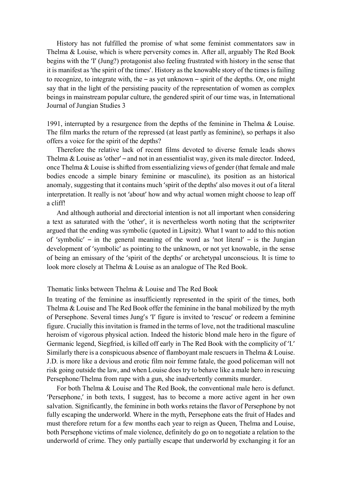History has not fulfilled the promise of what some feminist commentators saw in Thelma & Louise, which is where perversity comes in. After all, arguably The Red Book begins with the 'I' (Jung?) protagonist also feeling frustrated with history in the sense that it is manifest as 'the spirit of the times'. History as the knowable story of the times is failing to recognize, to integrate with, the – as yet unknown – spirit of the depths. Or, one might say that in the light of the persisting paucity of the representation of women as complex beings in mainstream popular culture, the gendered spirit of our time was, in International Journal of Jungian Studies 3

1991, interrupted by a resurgence from the depths of the feminine in Thelma & Louise. The film marks the return of the repressed (at least partly as feminine), so perhaps it also offers a voice for the spirit of the depths?

Therefore the relative lack of recent films devoted to diverse female leads shows Thelma & Louise as 'other' – and not in an essentialist way, given its male director. Indeed, once Thelma & Louise is shifted from essentializing views of gender (that female and male bodies encode a simple binary feminine or masculine), its position as an historical anomaly, suggesting that it contains much 'spirit of the depths' also moves it out of a literal interpretation. It really is not 'about' how and why actual women might choose to leap off a cliff!

And although authorial and directorial intention is not all important when considering a text as saturated with the 'other', it is nevertheless worth noting that the scriptwriter argued that the ending was symbolic (quoted in Lipsitz). What I want to add to this notion of 'symbolic' – in the general meaning of the word as 'not literal' – is the Jungian development of 'symbolic' as pointing to the unknown, or not yet knowable, in the sense of being an emissary of the 'spirit of the depths' or archetypal unconscious. It is time to look more closely at Thelma & Louise as an analogue of The Red Book.

## Thematic links between Thelma & Louise and The Red Book

In treating of the feminine as insufficiently represented in the spirit of the times, both Thelma & Louise and The Red Book offer the feminine in the banal mobilized by the myth of Persephone. Several times Jung's 'I' figure is invited to 'rescue' or redeem a feminine figure. Crucially this invitation is framed in the terms of love, not the traditional masculine heroism of vigorous physical action. Indeed the historic blond male hero in the figure of Germanic legend, Siegfried, is killed off early in The Red Book with the complicity of 'I.' Similarly there is a conspicuous absence of flamboyant male rescuers in Thelma & Louise. J.D. is more like a devious and erotic film noir femme fatale, the good policeman will not risk going outside the law, and when Louise does try to behave like a male hero in rescuing Persephone/Thelma from rape with a gun, she inadvertently commits murder.

For both Thelma & Louise and The Red Book, the conventional male hero is defunct. 'Persephone,' in both texts, I suggest, has to become a more active agent in her own salvation. Significantly, the feminine in both works retains the flavor of Persephone by not fully escaping the underworld. Where in the myth, Persephone eats the fruit of Hades and must therefore return for a few months each year to reign as Queen, Thelma and Louise, both Persephone victims of male violence, definitely do go on to negotiate a relation to the underworld of crime. They only partially escape that underworld by exchanging it for an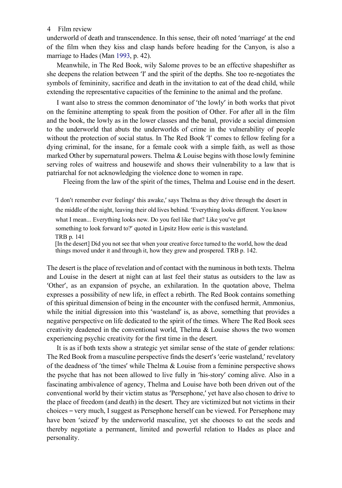## 4 Film review

underworld of death and transcendence. In this sense, their oft noted 'marriage' at the end of the film when they kiss and clasp hands before heading for the Canyon, is also a marriage to Hades (Man 1993, p. 42).

Meanwhile, in The Red Book, wily Salome proves to be an effective shapeshifter as she deepens the relation between 'I' and the spirit of the depths. She too re-negotiates the symbols of femininity, sacrifice and death in the invitation to eat of the dead child, while extending the representative capacities of the feminine to the animal and the profane.

I want also to stress the common denominator of 'the lowly' in both works that pivot on the feminine attempting to speak from the position of Other. For after all in the film and the book, the lowly as in the lower classes and the banal, provide a social dimension to the underworld that abuts the underworlds of crime in the vulnerability of people without the protection of social status. In The Red Book 'I' comes to fellow feeling for a dying criminal, for the insane, for a female cook with a simple faith, as well as those marked Other by supernatural powers. Thelma  $&$  Louise begins with those lowly feminine serving roles of waitress and housewife and shows their vulnerability to a law that is patriarchal for not acknowledging the violence done to women in rape.

Fleeing from the law of the spirit of the times, Thelma and Louise end in the desert.

'I don't remember ever feelings' this awake,' says Thelma as they drive through the desert in the middle of the night, leaving their old lives behind. 'Everything looks different. You know

what I mean... Everything looks new. Do you feel like that? Like you've got

something to look forward to?' quoted in Lipsitz How eerie is this wasteland.

TRB p. 141

[In the desert] Did you not see that when your creative force turned to the world, how the dead things moved under it and through it, how they grew and prospered. TRB p. 142.

The desert is the place of revelation and of contact with the numinous in both texts. Thelma and Louise in the desert at night can at last feel their status as outsiders to the law as 'Other', as an expansion of psyche, an exhilaration. In the quotation above, Thelma expresses a possibility of new life, in effect a rebirth. The Red Book contains something of this spiritual dimension of being in the encounter with the confused hermit, Ammonius, while the initial digression into this 'wasteland' is, as above, something that provides a negative perspective on life dedicated to the spirit of the times. Where The Red Book sees creativity deadened in the conventional world, Thelma  $\&$  Louise shows the two women experiencing psychic creativity for the first time in the desert.

It is as if both texts show a strategic yet similar sense of the state of gender relations: The Red Book from a masculine perspective finds the desert's 'eerie wasteland,' revelatory of the deadness of 'the times' while Thelma & Louise from a feminine perspective shows the psyche that has not been allowed to live fully in 'his-story' coming alive. Also in a fascinating ambivalence of agency, Thelma and Louise have both been driven out of the conventional world by their victim status as 'Persephone,' yet have also chosen to drive to the place of freedom (and death) in the desert. They are victimized but not victims in their choices – very much, I suggest as Persephone herself can be viewed. For Persephone may have been 'seized' by the underworld masculine, yet she chooses to eat the seeds and thereby negotiate a permanent, limited and powerful relation to Hades as place and personality.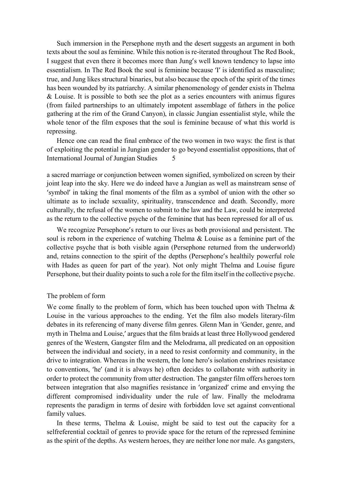Such immersion in the Persephone myth and the desert suggests an argument in both texts about the soul as feminine. While this notion is re-iterated throughout The Red Book, I suggest that even there it becomes more than Jung's well known tendency to lapse into essentialism. In The Red Book the soul is feminine because 'I' is identified as masculine; true, and Jung likes structural binaries, but also because the epoch of the spirit of the times has been wounded by its patriarchy. A similar phenomenology of gender exists in Thelma  $&$  Louise. It is possible to both see the plot as a series encounters with animus figures (from failed partnerships to an ultimately impotent assemblage of fathers in the police gathering at the rim of the Grand Canyon), in classic Jungian essentialist style, while the whole tenor of the film exposes that the soul is feminine because of what this world is repressing.

Hence one can read the final embrace of the two women in two ways: the first is that of exploiting the potential in Jungian gender to go beyond essentialist oppositions, that of International Journal of Jungian Studies 5

a sacred marriage or conjunction between women signified, symbolized on screen by their joint leap into the sky. Here we do indeed have a Jungian as well as mainstream sense of 'symbol' in taking the final moments of the film as a symbol of union with the other so ultimate as to include sexuality, spirituality, transcendence and death. Secondly, more culturally, the refusal of the women to submit to the law and the Law, could be interpreted as the return to the collective psyche of the feminine that has been repressed for all of us.

We recognize Persephone's return to our lives as both provisional and persistent. The soul is reborn in the experience of watching Thelma & Louise as a feminine part of the collective psyche that is both visible again (Persephone returned from the underworld) and, retains connection to the spirit of the depths (Persephone's healthily powerful role with Hades as queen for part of the year). Not only might Thelma and Louise figure Persephone, but their duality points to such a role for the film itself in the collective psyche.

## The problem of form

We come finally to the problem of form, which has been touched upon with Thelma  $\&$ Louise in the various approaches to the ending. Yet the film also models literary-film debates in its referencing of many diverse film genres. Glenn Man in 'Gender, genre, and myth in Thelma and Louise,' argues that the film braids at least three Hollywood gendered genres of the Western, Gangster film and the Melodrama, all predicated on an opposition between the individual and society, in a need to resist conformity and community, in the drive to integration. Whereas in the western, the lone hero's isolation enshrines resistance to conventions, 'he' (and it is always he) often decides to collaborate with authority in order to protect the community from utter destruction. The gangster film offers heroes torn between integration that also magnifies resistance in 'organized' crime and envying the different compromised individuality under the rule of law. Finally the melodrama represents the paradigm in terms of desire with forbidden love set against conventional family values.

In these terms, Thelma  $\&$  Louise, might be said to test out the capacity for a selfreferential cocktail of genres to provide space for the return of the repressed feminine as the spirit of the depths. As western heroes, they are neither lone nor male. As gangsters,